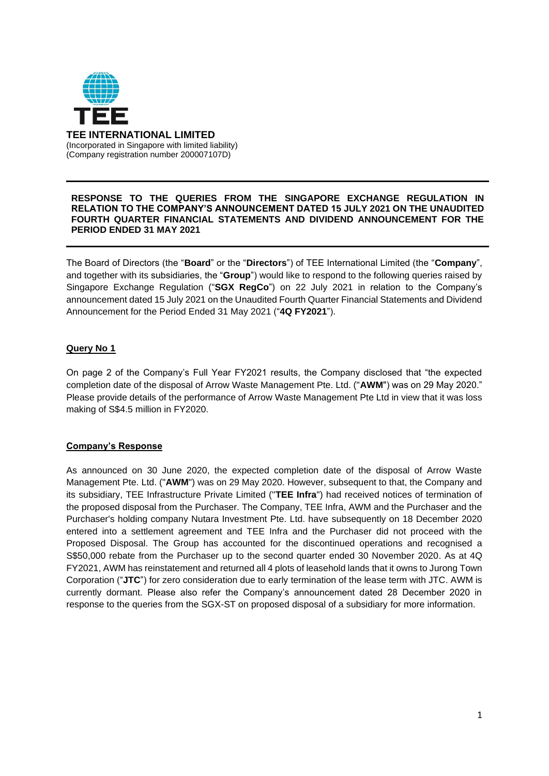

### **RESPONSE TO THE QUERIES FROM THE SINGAPORE EXCHANGE REGULATION IN RELATION TO THE COMPANY'S ANNOUNCEMENT DATED 15 JULY 2021 ON THE UNAUDITED FOURTH QUARTER FINANCIAL STATEMENTS AND DIVIDEND ANNOUNCEMENT FOR THE PERIOD ENDED 31 MAY 2021**

The Board of Directors (the "**Board**" or the "**Directors**") of TEE International Limited (the "**Company**", and together with its subsidiaries, the "**Group**") would like to respond to the following queries raised by Singapore Exchange Regulation ("**SGX RegCo**") on 22 July 2021 in relation to the Company's announcement dated 15 July 2021 on the Unaudited Fourth Quarter Financial Statements and Dividend Announcement for the Period Ended 31 May 2021 ("**4Q FY2021**").

## **Query No 1**

On page 2 of the Company's Full Year FY2021 results, the Company disclosed that "the expected completion date of the disposal of Arrow Waste Management Pte. Ltd. ("**AWM**") was on 29 May 2020." Please provide details of the performance of Arrow Waste Management Pte Ltd in view that it was loss making of S\$4.5 million in FY2020.

## **Company's Response**

As announced on 30 June 2020, the expected completion date of the disposal of Arrow Waste Management Pte. Ltd. ("**AWM**") was on 29 May 2020. However, subsequent to that, the Company and its subsidiary, TEE Infrastructure Private Limited ("**TEE Infra**") had received notices of termination of the proposed disposal from the Purchaser. The Company, TEE Infra, AWM and the Purchaser and the Purchaser's holding company Nutara Investment Pte. Ltd. have subsequently on 18 December 2020 entered into a settlement agreement and TEE Infra and the Purchaser did not proceed with the Proposed Disposal. The Group has accounted for the discontinued operations and recognised a S\$50,000 rebate from the Purchaser up to the second quarter ended 30 November 2020. As at 4Q FY2021, AWM has reinstatement and returned all 4 plots of leasehold lands that it owns to Jurong Town Corporation ("**JTC**") for zero consideration due to early termination of the lease term with JTC. AWM is currently dormant. Please also refer the Company's announcement dated 28 December 2020 in response to the queries from the SGX-ST on proposed disposal of a subsidiary for more information.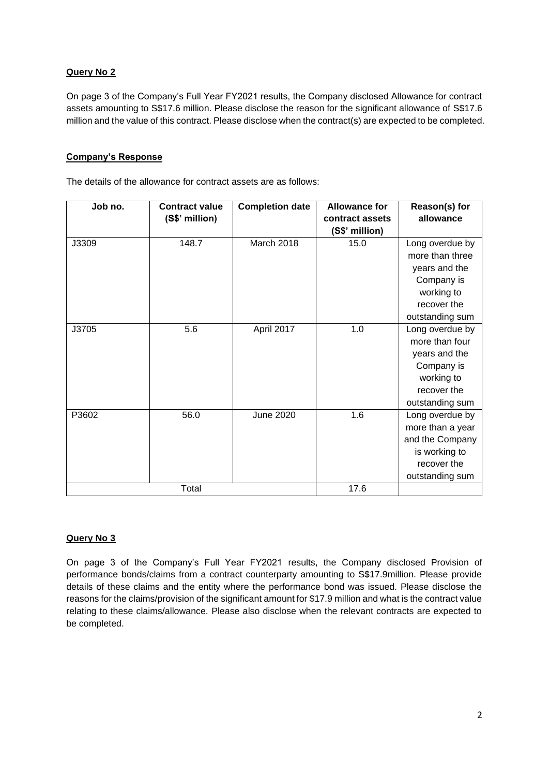# **Query No 2**

On page 3 of the Company's Full Year FY2021 results, the Company disclosed Allowance for contract assets amounting to S\$17.6 million. Please disclose the reason for the significant allowance of S\$17.6 million and the value of this contract. Please disclose when the contract(s) are expected to be completed.

# **Company's Response**

The details of the allowance for contract assets are as follows:

| Job no. | <b>Contract value</b> | <b>Completion date</b> | <b>Allowance for</b> | Reason(s) for    |
|---------|-----------------------|------------------------|----------------------|------------------|
|         | (S\$' million)        |                        | contract assets      | allowance        |
|         |                       |                        | (S\$' million)       |                  |
| J3309   | 148.7                 | March 2018             | 15.0                 | Long overdue by  |
|         |                       |                        |                      | more than three  |
|         |                       |                        |                      | years and the    |
|         |                       |                        |                      | Company is       |
|         |                       |                        |                      | working to       |
|         |                       |                        |                      | recover the      |
|         |                       |                        |                      | outstanding sum  |
| J3705   | 5.6                   | April 2017             | 1.0                  | Long overdue by  |
|         |                       |                        |                      | more than four   |
|         |                       |                        |                      | years and the    |
|         |                       |                        |                      | Company is       |
|         |                       |                        |                      | working to       |
|         |                       |                        |                      | recover the      |
|         |                       |                        |                      | outstanding sum  |
| P3602   | 56.0                  | <b>June 2020</b>       | 1.6                  | Long overdue by  |
|         |                       |                        |                      | more than a year |
|         |                       |                        |                      | and the Company  |
|         |                       |                        |                      | is working to    |
|         |                       |                        |                      | recover the      |
|         |                       |                        |                      | outstanding sum  |
| Total   |                       |                        | 17.6                 |                  |

## **Query No 3**

On page 3 of the Company's Full Year FY2021 results, the Company disclosed Provision of performance bonds/claims from a contract counterparty amounting to S\$17.9million. Please provide details of these claims and the entity where the performance bond was issued. Please disclose the reasons for the claims/provision of the significant amount for \$17.9 million and what is the contract value relating to these claims/allowance. Please also disclose when the relevant contracts are expected to be completed.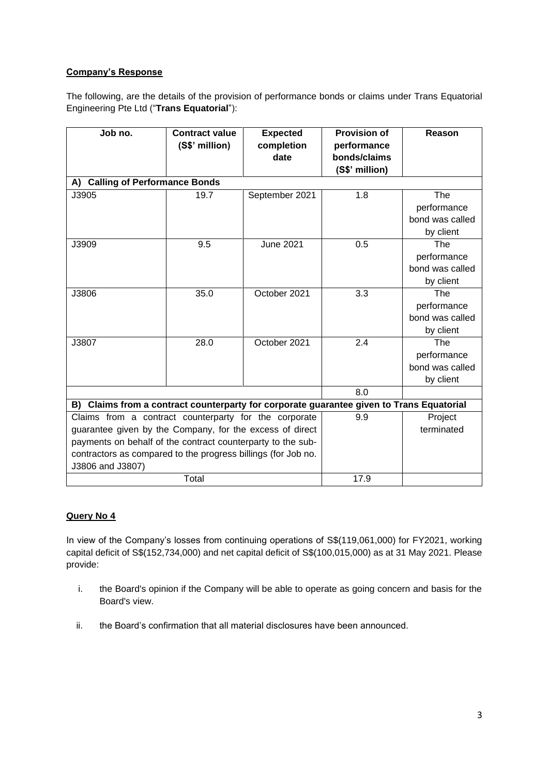# **Company's Response**

The following, are the details of the provision of performance bonds or claims under Trans Equatorial Engineering Pte Ltd ("**Trans Equatorial**"):

| Job no.                                                       | <b>Contract value</b> | <b>Expected</b>  | <b>Provision of</b>                                                                   | Reason                    |
|---------------------------------------------------------------|-----------------------|------------------|---------------------------------------------------------------------------------------|---------------------------|
|                                                               | (S\$' million)        | completion       | performance                                                                           |                           |
|                                                               |                       | date             | bonds/claims                                                                          |                           |
|                                                               |                       |                  | (S\$' million)                                                                        |                           |
| A) Calling of Performance Bonds                               |                       |                  |                                                                                       |                           |
| J3905                                                         | 19.7                  | September 2021   | 1.8                                                                                   | The                       |
|                                                               |                       |                  |                                                                                       | performance               |
|                                                               |                       |                  |                                                                                       | bond was called           |
|                                                               |                       |                  |                                                                                       | by client                 |
| J3909                                                         | 9.5                   | <b>June 2021</b> | 0.5                                                                                   | $\overline{\mathsf{The}}$ |
|                                                               |                       |                  |                                                                                       | performance               |
|                                                               |                       |                  |                                                                                       | bond was called           |
|                                                               |                       |                  |                                                                                       | by client                 |
| J3806                                                         | 35.0                  | October 2021     | 3.3                                                                                   | The                       |
|                                                               |                       |                  |                                                                                       | performance               |
|                                                               |                       |                  |                                                                                       | bond was called           |
|                                                               |                       |                  |                                                                                       | by client                 |
| J3807                                                         | 28.0                  | October 2021     | 2.4                                                                                   | The                       |
|                                                               |                       |                  |                                                                                       | performance               |
|                                                               |                       |                  |                                                                                       | bond was called           |
|                                                               |                       |                  |                                                                                       | by client                 |
|                                                               |                       |                  | 8.0                                                                                   |                           |
| B)                                                            |                       |                  | Claims from a contract counterparty for corporate guarantee given to Trans Equatorial |                           |
| Claims from a contract counterparty for the corporate         |                       |                  | 9.9                                                                                   | Project                   |
| guarantee given by the Company, for the excess of direct      |                       |                  |                                                                                       | terminated                |
| payments on behalf of the contract counterparty to the sub-   |                       |                  |                                                                                       |                           |
| contractors as compared to the progress billings (for Job no. |                       |                  |                                                                                       |                           |
| J3806 and J3807)                                              |                       |                  |                                                                                       |                           |
| Total                                                         |                       |                  | 17.9                                                                                  |                           |

# **Query No 4**

In view of the Company's losses from continuing operations of S\$(119,061,000) for FY2021, working capital deficit of S\$(152,734,000) and net capital deficit of S\$(100,015,000) as at 31 May 2021. Please provide:

- i. the Board's opinion if the Company will be able to operate as going concern and basis for the Board's view.
- ii. the Board's confirmation that all material disclosures have been announced.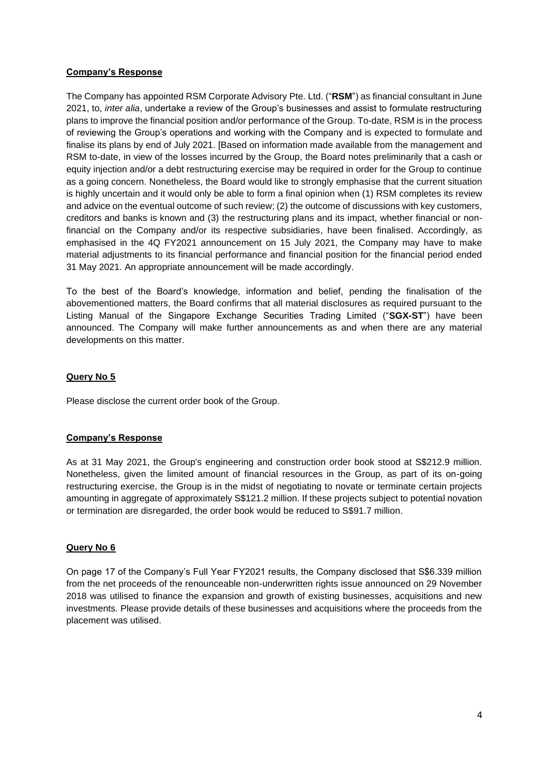## **Company's Response**

The Company has appointed RSM Corporate Advisory Pte. Ltd. ("**RSM**") as financial consultant in June 2021, to, *inter alia*, undertake a review of the Group's businesses and assist to formulate restructuring plans to improve the financial position and/or performance of the Group. To-date, RSM is in the process of reviewing the Group's operations and working with the Company and is expected to formulate and finalise its plans by end of July 2021. [Based on information made available from the management and RSM to-date, in view of the losses incurred by the Group, the Board notes preliminarily that a cash or equity injection and/or a debt restructuring exercise may be required in order for the Group to continue as a going concern. Nonetheless, the Board would like to strongly emphasise that the current situation is highly uncertain and it would only be able to form a final opinion when (1) RSM completes its review and advice on the eventual outcome of such review; (2) the outcome of discussions with key customers, creditors and banks is known and (3) the restructuring plans and its impact, whether financial or nonfinancial on the Company and/or its respective subsidiaries, have been finalised. Accordingly, as emphasised in the 4Q FY2021 announcement on 15 July 2021, the Company may have to make material adjustments to its financial performance and financial position for the financial period ended 31 May 2021. An appropriate announcement will be made accordingly.

To the best of the Board's knowledge, information and belief, pending the finalisation of the abovementioned matters, the Board confirms that all material disclosures as required pursuant to the Listing Manual of the Singapore Exchange Securities Trading Limited ("**SGX-ST**") have been announced. The Company will make further announcements as and when there are any material developments on this matter.

### **Query No 5**

Please disclose the current order book of the Group.

#### **Company's Response**

As at 31 May 2021, the Group's engineering and construction order book stood at S\$212.9 million. Nonetheless, given the limited amount of financial resources in the Group, as part of its on-going restructuring exercise, the Group is in the midst of negotiating to novate or terminate certain projects amounting in aggregate of approximately S\$121.2 million. If these projects subject to potential novation or termination are disregarded, the order book would be reduced to S\$91.7 million.

## **Query No 6**

On page 17 of the Company's Full Year FY2021 results, the Company disclosed that S\$6.339 million from the net proceeds of the renounceable non-underwritten rights issue announced on 29 November 2018 was utilised to finance the expansion and growth of existing businesses, acquisitions and new investments. Please provide details of these businesses and acquisitions where the proceeds from the placement was utilised.